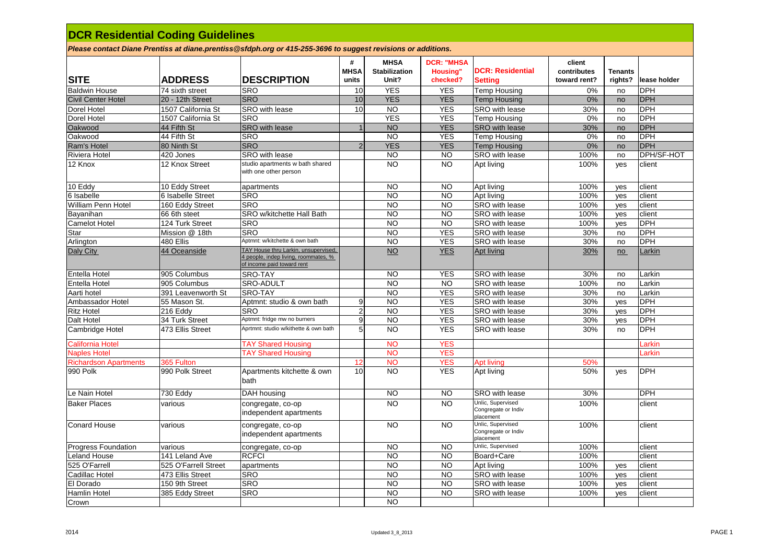| <b>DCR Residential Coding Guidelines</b>                                                                     |                      |                                                                                                            |                           |                                              |                                                  |                                                       |                                       |                           |              |  |  |
|--------------------------------------------------------------------------------------------------------------|----------------------|------------------------------------------------------------------------------------------------------------|---------------------------|----------------------------------------------|--------------------------------------------------|-------------------------------------------------------|---------------------------------------|---------------------------|--------------|--|--|
| Please contact Diane Prentiss at diane.prentiss@sfdph.org or 415-255-3696 to suggest revisions or additions. |                      |                                                                                                            |                           |                                              |                                                  |                                                       |                                       |                           |              |  |  |
| <b>SITE</b>                                                                                                  | <b>ADDRESS</b>       | <b>DESCRIPTION</b>                                                                                         | #<br><b>MHSA</b><br>units | <b>MHSA</b><br><b>Stabilization</b><br>Unit? | <b>DCR: "MHSA</b><br><b>Housing"</b><br>checked? | <b>DCR: Residential</b><br><b>Setting</b>             | client<br>contributes<br>toward rent? | <b>Tenants</b><br>rights? | lease holder |  |  |
| <b>Baldwin House</b>                                                                                         | 74 sixth street      | <b>SRO</b>                                                                                                 | 10                        | <b>YES</b>                                   | <b>YES</b>                                       | <b>Temp Housing</b>                                   | 0%                                    | no                        | <b>DPH</b>   |  |  |
| <b>Civil Center Hotel</b>                                                                                    | 20 - 12th Street     | <b>SRO</b>                                                                                                 | 10                        | <b>YES</b>                                   | <b>YES</b>                                       | <b>Temp Housing</b>                                   | 0%                                    | no                        | <b>DPH</b>   |  |  |
| Dorel Hotel                                                                                                  | 1507 California St   | SRO with lease                                                                                             | 10                        | <b>NO</b>                                    | <b>YES</b>                                       | SRO with lease                                        | 30%                                   | no                        | <b>DPH</b>   |  |  |
| Dorel Hotel                                                                                                  | 1507 California St   | <b>SRO</b>                                                                                                 |                           | <b>YES</b>                                   | <b>YES</b>                                       | <b>Temp Housing</b>                                   | 0%                                    | no                        | <b>DPH</b>   |  |  |
| Oakwood                                                                                                      | 44 Fifth St          | <b>SRO</b> with lease                                                                                      | $\mathbf{1}$              | <b>NO</b>                                    | <b>YES</b>                                       | SRO with lease                                        | 30%                                   | no                        | <b>DPH</b>   |  |  |
| Oakwood                                                                                                      | 44 Fifth St          | <b>SRO</b>                                                                                                 |                           | <b>NO</b>                                    | <b>YES</b>                                       | <b>Temp Housing</b>                                   | 0%                                    | no                        | DPH          |  |  |
| Ram's Hotel                                                                                                  | 80 Ninth St          | <b>SRO</b>                                                                                                 | $\overline{2}$            | <b>YES</b>                                   | <b>YES</b>                                       | <b>Temp Housing</b>                                   | 0%                                    | no                        | <b>DPH</b>   |  |  |
| <b>Riviera Hotel</b>                                                                                         | 420 Jones            | SRO with lease                                                                                             |                           | <b>NO</b>                                    | <b>NO</b>                                        | SRO with lease                                        | 100%                                  | no                        | DPH/SF-HOT   |  |  |
| 12 Knox                                                                                                      | 12 Knox Street       | studio apartments w bath shared<br>with one other person                                                   |                           | <b>NO</b>                                    | <b>NO</b>                                        | Apt living                                            | 100%                                  | yes                       | client       |  |  |
| 10 Eddy                                                                                                      | 10 Eddy Street       | apartments                                                                                                 |                           | <b>NO</b>                                    | <b>NO</b>                                        | Apt living                                            | 100%                                  | yes                       | client       |  |  |
| 6 Isabelle                                                                                                   | 6 Isabelle Street    | <b>SRO</b>                                                                                                 |                           | <b>NO</b>                                    | <b>NO</b>                                        | Apt living                                            | 100%                                  | yes                       | client       |  |  |
| William Penn Hotel                                                                                           | 160 Eddy Street      | <b>SRO</b>                                                                                                 |                           | <b>NO</b>                                    | <b>NO</b>                                        | SRO with lease                                        | 100%                                  | ves                       | client       |  |  |
| Bayanihan                                                                                                    | 66 6th steet         | SRO w/kitchette Hall Bath                                                                                  |                           | <b>NO</b>                                    | <b>NO</b>                                        | SRO with lease                                        | 100%                                  | yes                       | client       |  |  |
| <b>Camelot Hotel</b>                                                                                         | 124 Turk Street      | <b>SRO</b>                                                                                                 |                           | <b>NO</b>                                    | <b>NO</b>                                        | SRO with lease                                        | 100%                                  | yes                       | <b>DPH</b>   |  |  |
| Star                                                                                                         | Mission @ 18th       | <b>SRO</b>                                                                                                 |                           | <b>NO</b>                                    | <b>YES</b>                                       | SRO with lease                                        | 30%                                   | no                        | <b>DPH</b>   |  |  |
| Arlington                                                                                                    | 480 Ellis            | Aptmnt: w/kitchette & own bath                                                                             |                           | <b>NO</b>                                    | <b>YES</b>                                       | SRO with lease                                        | 30%                                   | no                        | <b>DPH</b>   |  |  |
| Daly City                                                                                                    | 44 Oceanside         | TAY House thru Larkin, unsupervised,<br>4 people, indep living, roommates, %<br>of income paid toward rent |                           | NQ                                           | <b>YES</b>                                       | Apt living                                            | 30%                                   | no                        | Larkin       |  |  |
| Entella Hotel                                                                                                | 905 Columbus         | <b>SRO-TAY</b>                                                                                             |                           | <b>NO</b>                                    | <b>YES</b>                                       | SRO with lease                                        | 30%                                   | no                        | Larkin       |  |  |
| Entella Hotel                                                                                                | 905 Columbus         | SRO-ADULT                                                                                                  |                           | <b>NO</b>                                    | <b>NO</b>                                        | SRO with lease                                        | 100%                                  | no                        | Larkin       |  |  |
| Aarti hotel                                                                                                  | 391 Leavenworth St   | SRO-TAY                                                                                                    |                           | <b>NO</b>                                    | <b>YES</b>                                       | SRO with lease                                        | 30%                                   | no                        | Larkin       |  |  |
| Ambassador Hotel                                                                                             | 55 Mason St.         | Aptmnt: studio & own bath                                                                                  | 9                         | <b>NO</b>                                    | <b>YES</b>                                       | SRO with lease                                        | 30%                                   | ves                       | <b>DPH</b>   |  |  |
| <b>Ritz Hotel</b>                                                                                            | 216 Eddy             | <b>SRO</b>                                                                                                 | $\overline{2}$            | <b>NO</b>                                    | <b>YES</b>                                       | SRO with lease                                        | 30%                                   | ves                       | <b>DPH</b>   |  |  |
| Dalt Hotel                                                                                                   | 34 Turk Street       | Aptmnt: fridge mw no burners                                                                               | $\boldsymbol{9}$          | <b>NO</b>                                    | <b>YES</b>                                       | SRO with lease                                        | 30%                                   | yes                       | <b>DPH</b>   |  |  |
| Cambridge Hotel                                                                                              | 473 Ellis Street     | Aprtmnt: studio w/kithette & own bath                                                                      | 5                         | <b>NO</b>                                    | <b>YES</b>                                       | SRO with lease                                        | 30%                                   | no                        | <b>DPH</b>   |  |  |
| <b>California Hotel</b>                                                                                      |                      | <b>TAY Shared Housing</b>                                                                                  |                           | <b>NO</b>                                    | <b>YES</b>                                       |                                                       |                                       |                           | <b>arkin</b> |  |  |
| <b>Naples Hotel</b>                                                                                          |                      | <b>TAY Shared Housing</b>                                                                                  |                           | <b>NO</b>                                    | <b>YES</b>                                       |                                                       |                                       |                           | .arkin       |  |  |
| <b>Richardson Apartments</b>                                                                                 | 365 Fulton           |                                                                                                            | 12                        | <b>NO</b>                                    | <b>YES</b>                                       | <b>Apt living</b>                                     | 50%                                   |                           |              |  |  |
| 990 Polk                                                                                                     | 990 Polk Street      | Apartments kitchette & own<br>bath                                                                         | 10                        | <b>NO</b>                                    | <b>YES</b>                                       | Apt living                                            | 50%                                   | yes                       | <b>DPH</b>   |  |  |
| Le Nain Hotel                                                                                                | 730 Eddy             | DAH housing                                                                                                |                           | <b>NO</b>                                    | <b>NO</b>                                        | SRO with lease                                        | 30%                                   |                           | <b>DPH</b>   |  |  |
| <b>Baker Places</b>                                                                                          | various              | congregate, co-op<br>independent apartments                                                                |                           | <b>NO</b>                                    | <b>NO</b>                                        | Unlic, Supervised<br>Congregate or Indiv<br>placement | 100%                                  |                           | client       |  |  |
| <b>Conard House</b>                                                                                          | various              | congregate, co-op<br>independent apartments                                                                |                           | <b>NO</b>                                    | <b>NO</b>                                        | Unlic, Supervised<br>Congregate or Indiv<br>placement | 100%                                  |                           | client       |  |  |
| <b>Progress Foundation</b>                                                                                   | various              | congregate, co-op                                                                                          |                           | <b>NO</b>                                    | <b>NO</b>                                        | Unlic, Supervised                                     | 100%                                  |                           | client       |  |  |
| <b>Leland House</b>                                                                                          | 141 Leland Ave       | <b>RCFCI</b>                                                                                               |                           | <b>NO</b>                                    | <b>NO</b>                                        | Board+Care                                            | 100%                                  |                           | client       |  |  |
| 525 O'Farrell                                                                                                | 525 O'Farrell Street | apartments                                                                                                 |                           | <b>NO</b>                                    | <b>NO</b>                                        | Apt living                                            | 100%                                  | ves                       | client       |  |  |
| Cadillac Hotel                                                                                               | 473 Ellis Street     | SRO                                                                                                        |                           | <b>NO</b>                                    | <b>NO</b>                                        | SRO with lease                                        | 100%                                  | yes                       | client       |  |  |
| El Dorado                                                                                                    | 150 9th Street       | <b>SRO</b>                                                                                                 |                           | <b>NO</b>                                    | <b>NO</b>                                        | SRO with lease                                        | 100%                                  | yes                       | client       |  |  |
| Hamlin Hotel                                                                                                 | 385 Eddy Street      | <b>SRO</b>                                                                                                 |                           | <b>NO</b>                                    | <b>NO</b>                                        | SRO with lease                                        | 100%                                  | yes                       | client       |  |  |
| Crown                                                                                                        |                      |                                                                                                            |                           | <b>NO</b>                                    |                                                  |                                                       |                                       |                           |              |  |  |